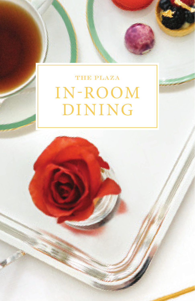# THE PLAZA IN-ROOM DINING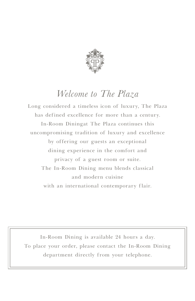

# *Welcome to The Plaza*

Long considered a timeless icon of luxury, The Plaza has defined excellence for more than a century. In-Room Diningat The Plaza continues this uncompromising tradition of luxury and excellence by offering our guests an exceptional dining experience in the comfort and privacy of a guest room or suite. The In-Room Dining menu blends classical and modern cuisine with an international contemporary flair.

In-Room Dining is available 24 hours a day. To place your order, please contact the In-Room Dining department directly from your telephone.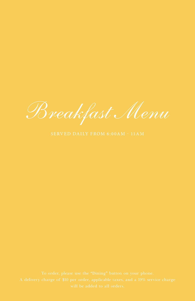*Breakfast Menu*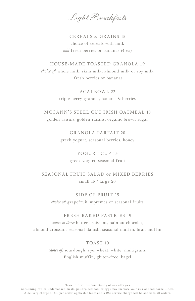*Light Breakfasts*

# CEREALS & GRAINS 15 choice of cereals with milk *add* fresh berries or bananas (4 ea)

HOUSE-MADE TOASTED GRANOLA 19 *choice of:* whole milk, skim milk, almond milk or soy milk fresh berries or bananas

> ACA I BOW L 22 triple berry granola, banana & berries

MCCANN'S STEEL CUT IRISH OATMEAL 18 golden raisins, golden raisins, organic brown sugar

> GR A NOLA PAR FAIT 20 greek yogurt, seasonal berries, honey

> > YOGURT CUP 15 greek yogurt, seasonal fruit

SEASONAL FRUIT SALAD or MIXED BERRIES small 15 / large 20

SIDE OF FRUIT 15

*choice of:* grapefruit supremes or seasonal fruits

#### FRESH BAKED PASTRIES 19

*choice of three:* butter croissant, pain au chocolat, almond croissant seasonal danish, seasonal muffin, bran muffin

TOAST 10

*choice of:* sourdough, rye, wheat, white, multigrain, English muffin, gluten-free, bagel

Please inform In-Room Dining of any allergies.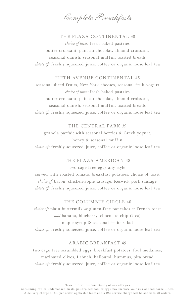*Complete Breakfasts*

#### THE PLAZA CONTINENTAL 38

*choice of three:* fresh baked pastries butter croissant, pain au chocolat, almond croissant, seasonal danish, seasonal muffin, toasted breads *choice of:* freshly squeezed juice, coffee or organic loose leaf tea

#### FIFTH AVENUE CONTINENTAL 45

seasonal sliced fruits, New York cheeses, seasonal fruit yogurt *choice of three:* fresh baked pastries butter croissant, pain au chocolat, almond croissant, seasonal danish, seasonal muffin, toasted breads *choice of:* freshly squeezed juice, coffee or organic loose leaf tea

#### THE CENTRAL PARK 39

granola parfait with seasonal berries & Greek yogurt, honey & seasonal muffin *choice of:* freshly squeezed juice, coffee or organic loose leaf tea

#### THE PLAZA AMERICAN 48

two cage free eggs any style served with roasted tomato, breakfast potatoes, choice of toast *choice of:* bacon, chicken-apple sausage, Keswick pork sausage *choice of:* freshly squeezed juice, coffee or organic loose leaf tea

#### THE COLUMBUS CIRCLE 40

*choice of:* plain buttermilk *or* gluten-free pancakes *or* French toast *add* banana, blueberry, chocolate chip (2 ea) maple syrup & seasonal fruits salad *choice of:* freshly squeezed juice, coffee or organic loose leaf tea

#### ARABIC BREAKFAST 49

two cage free scrambled eggs, breakfast potatoes, foul medames, marinated olives, Labneh, halloumi, hummus, pita bread *choice of:* freshly squeezed juice, coffee or organic loose leaf tea

Please inform In-Room Dining of any allergies.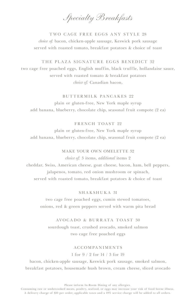*Specialty Breakfasts*

TWO CAGE FREE EGGS ANY STYLE 28 *choice of:* bacon, chicken-apple sausage, Keswick pork sausage served with roasted tomato, breakfast potatoes & choice of toast

THE PLAZA SIGNATURE EGGS BENEDICT 32 two cage free poached eggs, English muffin, black truffle, hollandaise sauce, served with roasted tomato & breakfast potatoes *choice of:* Canadian bacon,

#### BUTTERMILK PANCAKES 99

plain or gluten-free, New York maple syrup add banana, blueberry, chocolate chip, seasonal fruit compote (2 ea)

#### FRENCH TOAST 22

plain or gluten-free, New York maple syrup add banana, blueberry, chocolate chip, seasonal fruit compote (2 ea)

#### MAKE YOUR OWN OMELETTE 32 *choice of:* 3 items, *additional* items 2

cheddar, Swiss, American cheese, goat cheese, bacon, ham, bell peppers, jalapenos, tomato, red onion mushroom or spinach, served with roasted tomato, breakfast potatoes & choice of toast

#### SHAKSHUKA 31

two cage free poached eggs, cumin stewed tomatoes, onions, red & green peppers served with warm pita bread

#### AVOCADO & BURRATA TOAST 30

sourdough toast, crushed avocado, smoked salmon two cage free poached eggs

#### **ACCOMPANIMENTS**

1 for 9 / 2 for 14 / 3 for 19

bacon, chicken-apple sausage, Keswick pork sausage, smoked salmon, breakfast potatoes, housemade hush brown, cream cheese, sliced avocado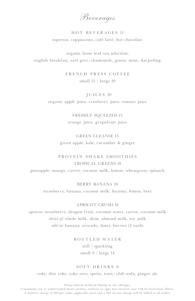*Beverages*

# HOT BEVERAGES 11 espresso, cappuccino, café latté, hot chocolate

organic loose leaf tea selection: english breakfast, earl grey, chamomile, green, mint, darjeeling

> FRENCH PRESS COFFEE small 15 / large 19

#### J U I C E S 10

organic apple juice, cranberry juice, tomato juice

FRESHLY SQUEEZED 13 orange juice, grapefruit juice

## GREEN CLEANSE 15 green apple, kale, cucumber & ginger

### PROTEIN SHAKE SMOOTHIES TROPICAL GREENS 18

pineapple, mango, carrot, coconut milk, lemon, wheatgrass, spinach

#### BERRY BANANA 18

strawberry, banana, coconut milk, lucuma, lemon, beet

#### APRICOT CRUSH 18

apricot, strawberry, dragon fruit, coconut water, carrot, coconut milk *choice of:* whole milk, skim, almond milk, soy milk *add on:* banana, avocado, dates, berries (2 each)

> BOTTLED WATER still / sparkling small 9 / large 14

#### SOFT DRINKS 9

coke, diet coke, coke zero, sprite, tonic, club soda, ginger ale

Please inform In-Room Dining of any allergies.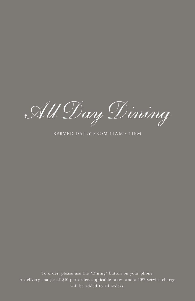*All Day Dining*

SERVED DAILY FROM 11AM - 11PM

will be added to all orders. To order, please use the "Dining" button on your phone. A delivery charge of \$10 per order, applicable taxes, and a 19% service charge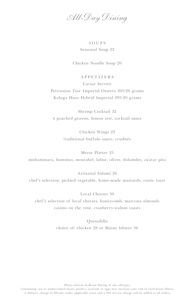*All-Day Dining*

## SOUPS Seasonal Soup 22

Chicken Noodle Soup 20

#### APPETIZERS

Caviar Service

Petrossian Tsar Imperial Ossetra 205/20 grams Kaluga Huso Hybrid Imperial 295/20 grams

Shrimp Cocktail 32 4 poached prawns, lemon zest, cocktail sauce

> Chicken Wings 22 traditional buffalo sauce, crudités

Mezze Platter 25 muhammara, hummus, moutabel, labne, olives, dolamdes, za'atar pita

Artisanal Salumi 26 chef's selection, pickled vegetable, home-made mustards, rustic toast

Local Cheeses 30 chef's selection of local cheeses, honeycomb, marcona almonds raisins on the vine, cranberry-walnut toasts

> Quesadilla choice of: chicken 28 or Maine lobster 36

> > Please inform In-Room Dining of any allergies.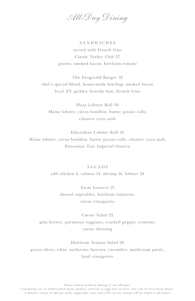*All-Day Dining*

# SANDWICHES served with French fries Classic Turkey Club 27 greens, smoked bacon, heirloom tomato

The Fitzgerald Burger 32 chef's special blend, house-made ketchup, smoked bacon local NY pickles, brioche bun, French fries

Plaza Lobster Roll 36 Maine lobster, citrus bouillon, butter potato rolls, cilantro yuzu aioli

Edwardian Lobster Roll 56 Maine lobster, citrus bouillon, butter potato rolls, cilantro yuzu aioli, Petrossian Tsar Imperial Ossetra

#### SALADS

add chicken 8, salmon 14, shrimp 16, lobster 24

Farm Lettuces 21 shaved vegetables, heirloom tomatoes, citrus vinaigrette

Caesar Salad 22 gem lettuce, parmesan reggiano, cracked pepper croutons, caesar dressing

Heirloom Tomato Salad 26 green olives, white anchovies, burrata, cucumber, mushroom purée, basil vinaigrette

Please inform In-Room Dining of any allergies.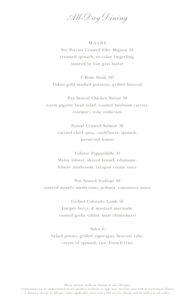*All-Day Dining*

#### MAINS

8oz Porcini Crusted Filet Mignon 55 creamed spinach, tri-color fingerling, sauteed in foie gras butter

T-Bone Steak 107 Yukon gold mashed potatoes, grilled broccoli

Pan Seared Chicken Breast 38 warm gigante bean salad, roasted heirloom carrots, rosemary wine reduction

> Fennel Crusted Salmon 36 curried chick peas, cauliflower, spinach, preserved lemon

> Lobster Pappardelle 41 Maine lobster, shaved fennel, edamame, lobster mushroom, taragon cream sauce

Pan Seared Scallops 48 sauteed morel's mushrooms, polenta, romanesco sauce

> Grilled Colorado Lamb 58 Juniper berry, & mustard marinade, roasted garlic tahini, mint chimichurri

#### Sides 11

baked potato, grilled asparagus, broccoli rabe, cream of spinach, rice, French fries

Please inform In-Room Dining of any allergies.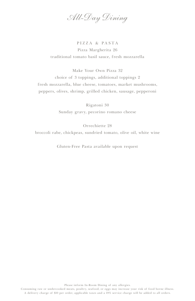*All-Day Dining*

PIZZA & PASTA Pizza Margherita 26 traditional tomato basil sauce, fresh mozzarella

Make Your Own Pizza 32 choice of 3 toppings, additional toppings 2 fresh mozzarella, blue cheese, tomatoes, market mushrooms, peppers, olives, shrimp, grilled chicken, sausage, pepperoni

> Rigatoni 30 Sunday gravy, pecorino romano cheese

> > Orrechiette 28

broccoli rabe, chickpeas, sundried tomato, olive oil, white wine

Gluten-Free Pasta available upon request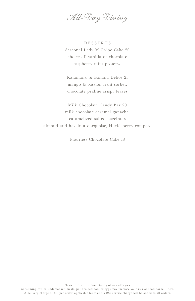*All-Day Dining*

DESSERTS Seasonal Lady M Crépe Cake 20 choice of: vanilla or chocolate raspberry mint preserve

Kalamansi & Banana Delice 21 mango & passion fruit sorbet, chocolate praline crispy leaves

Milk Chocolate Candy Bar 20 milk chocolate caramel ganache, caramelized salted hazelnuts almond and hazelnut dacquoise, Huckleberry compote

Flourless Chocolate Cake 18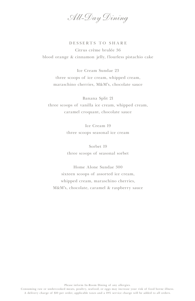*All-Day Dining*

DESSERTS TO SHARE Citrus crème brulée 36 blood orange & cinnamon jelly, flourless pistachio cake

Ice Cream Sundae 23 three scoops of ice cream, whipped cream, maraschino cherries, M&M's, chocolate sauce

Banana Split 21 three scoops of vanilla ice cream, whipped cream, caramel croquant, chocolate sauce

> Ice Cream 19 three scoops seasonal ice cream

> Sorbet 19 three scoops of seasonal sorbet

Home Alone Sundae 300 sixteen scoops of assorted ice cream, whipped cream, maraschino cherries, M&M's, chocolate, caramel & raspberry sauce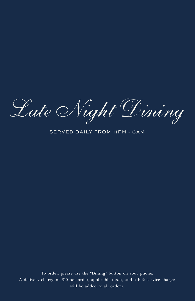Late Night Dining

SERVED DAILY FROM 11PM - 6AM

will be added to all orders. To order, please use the "Dining" button on your phone. A delivery charge of \$10 per order, applicable taxes, and a 19% service charge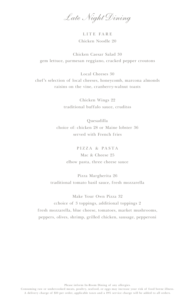*Late Night Dining*

LITE FARE Chicken Noodle 20

Chicken Caesar Salad 30 gem lettuce, parmesan reggiano, cracked pepper croutons

Local Cheeses 30 chef's selection of local cheeses, honeycomb, marcona almonds raisins on the vine, cranberry-walnut toasts

> Chicken Wings 22 traditional buffalo sauce, crudităs

Quesadilla choice of: chicken 28 or Maine lobster 36 served with French fries

> PIZZA & PASTA Mac & Cheese 25 elbow pasta, three cheese sauce

Pizza Margherita 26 traditional tomato basil sauce, fresh mozzarella

Make Your Own Pizza 32 cchoice of 3 toppings, additional toppings 2 fresh mozzarella, blue cheese, tomatoes, market mushrooms, peppers, olives, shrimp, grilled chicken, sausage, pepperoni

Please inform In-Room Dining of any allergies.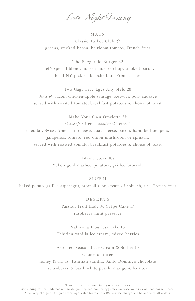*Late Night Dining*

#### MAIN

Classic Turkey Club 27 greens, smoked bacon, heirloom tomato, French fries

The Fitzgerald Burger 32 chef's special blend, house-made ketchup, smoked bacon, local NY pickles, brioche bun, French fries

Two Cage Free Eggs Any Style 28 *choice of:* bacon, chicken-apple sausage, Keswick pork sausage served with roasted tomato, breakfast potatoes & choice of toast

Make Your Own Omelette 32 *choice of:* 3 items, *additional* items 2 cheddar, Swiss, American cheese, goat cheese, bacon, ham, bell peppers, jalapenos, tomato, red onion mushroom or spinach, served with roasted tomato, breakfast potatoes & choice of toast

> T-Bone Steak 107 Yukon gold mashed potatoes, grilled broccoli

#### SIDES 11

baked potato, grilled asparagus, broccoli rabe, cream of spinach, rice, French fries

DESERTS Passion Fruit Lady M Crépe Cake 17 raspberry mint preserve

Valhrona Flourless Cake 18 Tahitian vanilla ice cream, mixed berries

Assorted Seasonal Ice Cream & Sorbet 19 Choice of three honey & citrus, Tahitian vanilla, Santo Domingo chocolate strawberry & basil, white peach, mango & bali tea

Please inform In-Room Dining of any allergies.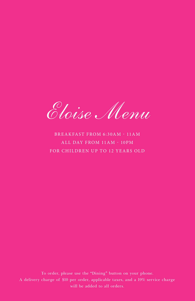*Eloise Menu*

# BREAKFAST FROM 6:30AM - 11AM ALL DAY FROM 11AM - 10PM FOR CHILDREN UP TO 12 YEARS OLD

To order, please use the "Dining" button on your phone. A delivery charge of \$10 per order, applicable taxes, and a 19% service charge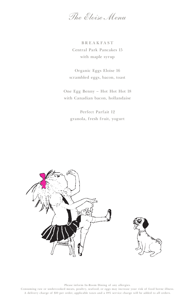*The Eloise Menu*

BREAKFAST Central Park Pancakes 15 with maple syrup

Organic Eggs Eloise 16 scrambled eggs, bacon, toast

One Egg Benny – Hot Hot Hot 18 with Canadian bacon, hollandaise

Perfect Parfait 12 granola, fresh fruit, yogurt



Please inform In-Room Dining of any allergies.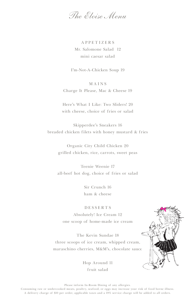*The Eloise Menu*

APPETIZERS Mr. Salomone Salad 12 mini caesar salad

I'm-Not-A-Chicken Soup 19

MAINS Charge It Please, Mac & Cheese 19

Here's What I Like: Two Sliders! 20 with cheese, choice of fries or salad

Skipperdee's Sneakers 16 breaded chicken filets with honey mustard & fries

> Organic City Child Chicken 20 grilled chicken, rice, carrots, sweet peas

Teenie Weenie 17 all-beef hot dog, choice of fries or salad

> Sir Crunch 16 ham & cheese

DESSERTS Absolutely! Ice Cream 12 one scoop of home-made ice cream

The Kevin Sundae 18 three scoops of ice cream, whipped cream, maraschino cherries, M&M's, chocolate sauce

> Hop Around 11 fruit salad



Please inform In-Room Dining of any allergies.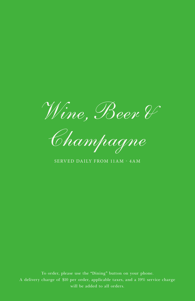*Wine, Beer &* 

*Champagne*

SERVED DAILY FROM 11AM - 4AM

To order, please use the "Dining" button on your phone. A delivery charge of \$10 per order, applicable taxes, and a 19% service charge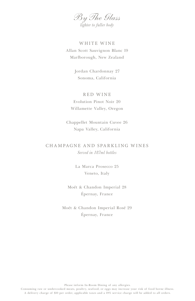*By The Glass lighter to fuller body*

WHITE WINE Allan Scott Sauvignon Blanc 19 Marlborough, New Zealand

> Jordan Chardonnay 27 Sonoma, California

# RED WINE Evolution Pinot Noir 20 Willamette Valley, Oregon

Chappellet Mountain Cuvee 26 Napa Valley, California

# CHAMPAGNE AND SPARKLING WINES *Served in 187ml bottles*

La Marca Prosecco 25 Veneto, Italy

Moét & Chandon Imperial 28 Épernay, France

Moét & Chandon Imperial Rosé 29 Épernay, France

Please inform In-Room Dining of any allergies.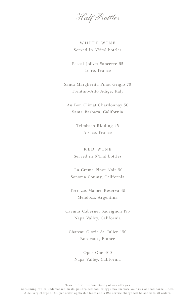*Half Bottles*

WHITE WINE Served in 375ml bottles

Pascal Jolivet Sancerre 65 Loire, France

Santa Margherita Pinot Grigio 70 Trentino-Alto Adige, Italy

Au Bon Climat Chardonnay 50 Santa Barbara, California

> Trimbach Riesling 45 Alsace, France

RED WINE Served in 375ml bottles

 La Crema Pinot Noir 50 Sonoma County, California

Terrazas Malbec Reserva 45 Mendoza, Argentina

Caymus Cabernet Sauvignon 195 Napa Valley, California

Chateau Gloria St. Julien 150 Bordeaux, France

Opus One 400 Napa Valley, California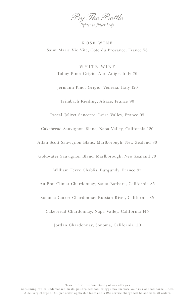

ROS É WINE Saint Marie Vie Vite, Cote du Provance, France 76

WHITE WINE Tolloy Pinot Grigio, Alto Adige, Italy 76

Jermann Pinot Grigio, Venezia, Italy 120

Trimbach Riesling, Alsace, France 90

Pascal Jolivet Sancerre, Loire Valley, France 95

Cakebread Sauvignon Blanc, Napa Valley, California 120

Allan Scott Sauvignon Blanc, Marlborough, New Zealand 80

Goldwater Sauvignon Blanc, Marlborough, New Zealand 70

William Févre Chablis, Burgundy, France 95

Au Bon Climat Chardonnay, Santa Barbara, California 85

Sonoma-Cutrer Chardonnay Russian River, California 85

Cakebread Chardonnay, Napa Valley, California 145

Jordan Chardonnay, Sonoma, California 110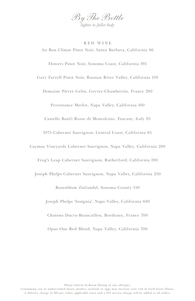

RED WINE

Au Bon Climat Pinot Noir, Santa Barbara, California 86 Flowers Pinot Noir, Sonoma Coast, California 195 Gary Farrell Pinot Noir, Russian River Valley, California 150 Domaine Pierre Gelin, Gevrey-Chambertin, France 280 Provenance Merlot, Napa Valley, California 160 Castello Banfi Rosso di Montalcino, Tuscany, Italy 85 1975 Cabernet Sauvignon, Central Coast, California 85 Caymus Vineyards Cabernet Sauvignon, Napa Valley, California 280 Frog's Leap Cabernet Sauvignon, Rutherford, California 190 Joseph Phelps Cabernet Sauvignon, Napa Valley, California 250 Rosenblum Zinfandel, Sonoma County 150 Joseph Phelps 'Insignia', Napa Valley, California 680 Chatebu Ducru-Beaucaillou, Bordeaux, France 700 Opus One Red Blend, Napa Valley, California 700

Please inform In-Room Dining of any allergies.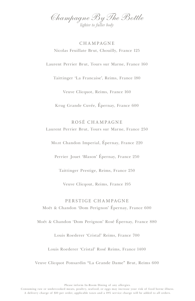*Champagne By The Bottle lighter to fuller body*

# CHAMPAGNE Nicolas Feuillate Brut, Chouilly, France 125

Laurent Perrier Brut, Tours sur Marne, France 160

Taittinger 'La Francaise', Reims, France 180

Veuve Clicquot, Reims, France 160

Krug Grande Cuvée, Épernay, France 600

ROSÉ CHAMPAGNE Laurent Perrier Brut, Tours sur Marne, France 250

Молt Chandon Imperial, Épernay, France 220

Perrier Jouet 'Blason' Épernay, France 250

Taittinger Prestige, Reims, France 250

Veuve Clicqout, Reims, France 195

# PERSTIGE CHAMPAGNE Moét & Chandon 'Dom Perignon' Épernay, France 600

Moét & Chandon 'Dom Perignon' Rosé Épernay, France 880

Louis Roederer 'Cristal' Reims, France 700

Louis Roederer 'Cristal' Rosé Reims, France 1400

Veuve Clicquot Ponsardin "La Grande Dame" Brut, Reims 600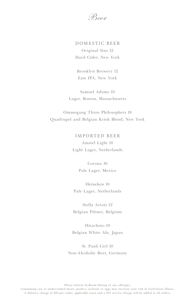*Beer*

# DOMESTIC BEER Original Sins 12 Hard Cider, New York

Brooklyn Brewery 12 East IPA, New York

Samuel Adams 10 Lager, Boston, Massachusetts

Ommegang Three Philosophers 18 Quadrupel and Belgian Kriek Blend, New York

> IMPORTED BEER Amstel Light 10 Light Lager, Netherlands

> > Corona 10 Pale Lager, Mexico

Heineken 10 Pale Lager, Netherlands

Stella Artois 12 Belgian Pilsner, Belgium

Hitachino 19 Belgian White Ale, Japan

St. Pauli Girl 10 Non-Alcoholic Beer, Germany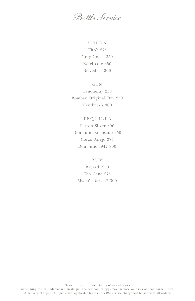*Bottle Service*

VODKA Tito's 275 Grey Goose 350 Ketel One 350 Belvedere 300

GIN

Tanqueray 250 Bombay Original Dry 250 Hendrick's 300

# TEQUILLA Patron Silver 300 Don Julio Reposado 350 Corzo Anejo 375 Don Julio 1942 800

RUM Bacardi 250 Ten Cane 275 Myers's Dark 12 300

Please inform In-Room Dining of any allergies.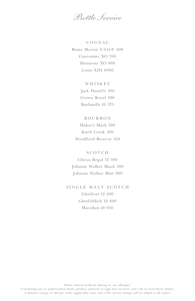*Bottle Service*

COGNAC Remy Martin V.S.O.P. 400 Couvoisier XO 700 Hennessy XO 800 Louis XIII 6000

> WHISKEY Jack Daniel's 300 Crown Royal 300 Bushmills 16 375

# BOURBON

Maker's Mark 300 Knob Creek 300 Woodford Reserve 350

SCOTCH

Chivas Regal 12 300 Johnnie Walker Black 300 Johnnie Walker Blue 900

SINGLE MALT SCOTCH Glenlivet 12 400 Glenfiddich 12 400 Macallan 18 950

Please inform In-Room Dining of any allergies.